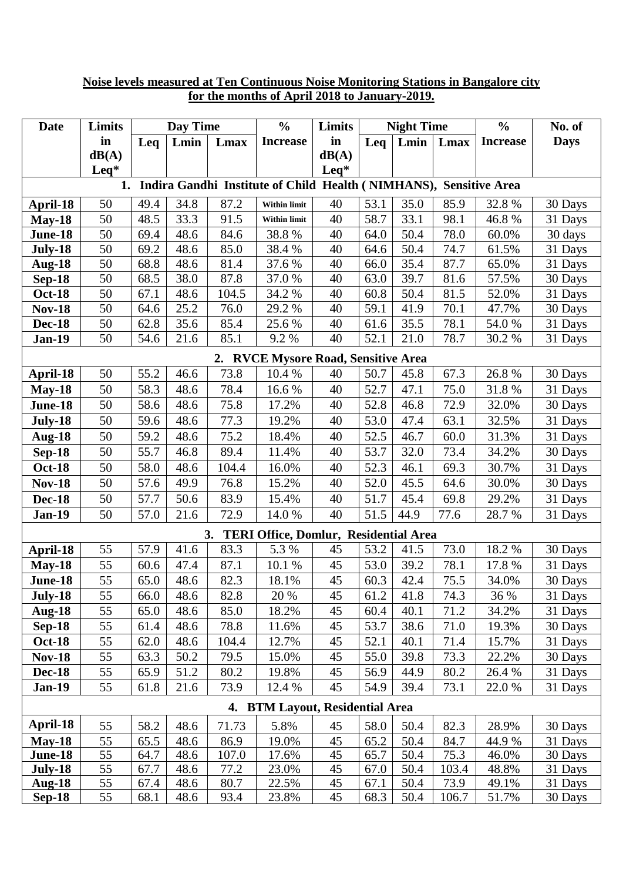| Date                                                                    | Limits           | Day Time |      |       | $\frac{0}{0}$                                | Limits           | <b>Night Time</b> |      |       | $\frac{0}{0}$   | No. of      |
|-------------------------------------------------------------------------|------------------|----------|------|-------|----------------------------------------------|------------------|-------------------|------|-------|-----------------|-------------|
|                                                                         | in               | Leq      | Lmin | Lmax  | <b>Increase</b>                              | in               | Leq               | Lmin | Lmax  | <b>Increase</b> | <b>Days</b> |
|                                                                         | dB(A)            |          |      |       |                                              | dB(A)            |                   |      |       |                 |             |
|                                                                         | $\mathbf{L}$ eq* |          |      |       |                                              | $\mathbf{L}$ eq* |                   |      |       |                 |             |
| Indira Gandhi Institute of Child Health (NIMHANS), Sensitive Area<br>1. |                  |          |      |       |                                              |                  |                   |      |       |                 |             |
| April-18                                                                | 50               | 49.4     | 34.8 | 87.2  | Within limit                                 | 40               | 53.1              | 35.0 | 85.9  | 32.8%           | 30 Days     |
| $May-18$                                                                | 50               | 48.5     | 33.3 | 91.5  | <b>Within limit</b>                          | 40               | 58.7              | 33.1 | 98.1  | 46.8%           | 31 Days     |
| June-18                                                                 | 50               | 69.4     | 48.6 | 84.6  | 38.8%                                        | 40               | 64.0              | 50.4 | 78.0  | 60.0%           | 30 days     |
| July-18                                                                 | 50               | 69.2     | 48.6 | 85.0  | 38.4 %                                       | 40               | 64.6              | 50.4 | 74.7  | 61.5%           | 31 Days     |
| <b>Aug-18</b>                                                           | 50               | 68.8     | 48.6 | 81.4  | 37.6 %                                       | 40               | 66.0              | 35.4 | 87.7  | 65.0%           | 31 Days     |
| $Sep-18$                                                                | 50               | 68.5     | 38.0 | 87.8  | 37.0%                                        | 40               | 63.0              | 39.7 | 81.6  | 57.5%           | 30 Days     |
| <b>Oct-18</b>                                                           | 50               | 67.1     | 48.6 | 104.5 | 34.2 %                                       | 40               | 60.8              | 50.4 | 81.5  | 52.0%           | 31 Days     |
| <b>Nov-18</b>                                                           | 50               | 64.6     | 25.2 | 76.0  | 29.2 %                                       | 40               | 59.1              | 41.9 | 70.1  | 47.7%           | 30 Days     |
| <b>Dec-18</b>                                                           | 50               | 62.8     | 35.6 | 85.4  | 25.6 %                                       | 40               | 61.6              | 35.5 | 78.1  | 54.0 %          | 31 Days     |
| <b>Jan-19</b>                                                           | 50               | 54.6     | 21.6 | 85.1  | 9.2%                                         | 40               | 52.1              | 21.0 | 78.7  | 30.2 %          | 31 Days     |
| 2. RVCE Mysore Road, Sensitive Area                                     |                  |          |      |       |                                              |                  |                   |      |       |                 |             |
| April-18                                                                | 50               | 55.2     | 46.6 | 73.8  | 10.4 %                                       | 40               | 50.7              | 45.8 | 67.3  | 26.8%           | 30 Days     |
| $May-18$                                                                | 50               | 58.3     | 48.6 | 78.4  | 16.6%                                        | 40               | 52.7              | 47.1 | 75.0  | 31.8%           | 31 Days     |
| June-18                                                                 | 50               | 58.6     | 48.6 | 75.8  | 17.2%                                        | 40               | 52.8              | 46.8 | 72.9  | 32.0%           | 30 Days     |
| July-18                                                                 | 50               | 59.6     | 48.6 | 77.3  | 19.2%                                        | 40               | 53.0              | 47.4 | 63.1  | 32.5%           | 31 Days     |
| <b>Aug-18</b>                                                           | 50               | 59.2     | 48.6 | 75.2  | 18.4%                                        | 40               | 52.5              | 46.7 | 60.0  | 31.3%           | 31 Days     |
| <b>Sep-18</b>                                                           | 50               | 55.7     | 46.8 | 89.4  | 11.4%                                        | 40               | 53.7              | 32.0 | 73.4  | 34.2%           | 30 Days     |
| <b>Oct-18</b>                                                           | 50               | 58.0     | 48.6 | 104.4 | 16.0%                                        | 40               | 52.3              | 46.1 | 69.3  | 30.7%           | 31 Days     |
| <b>Nov-18</b>                                                           | 50               | 57.6     | 49.9 | 76.8  | 15.2%                                        | 40               | 52.0              | 45.5 | 64.6  | 30.0%           | 30 Days     |
| <b>Dec-18</b>                                                           | 50               | 57.7     | 50.6 | 83.9  | 15.4%                                        | 40               | 51.7              | 45.4 | 69.8  | 29.2%           | 31 Days     |
| <b>Jan-19</b>                                                           | 50               | 57.0     | 21.6 | 72.9  | 14.0 %                                       | 40               | 51.5              | 44.9 | 77.6  | 28.7%           | 31 Days     |
|                                                                         |                  |          |      | 3.    | <b>TERI Office, Domlur, Residential Area</b> |                  |                   |      |       |                 |             |
| April-18                                                                | 55               | 57.9     | 41.6 | 83.3  | 5.3 %                                        | 45               | 53.2              | 41.5 | 73.0  | 18.2 %          | 30 Days     |
| <b>May-18</b>                                                           | 55               | 60.6     | 47.4 | 87.1  | 10.1 %                                       | 45               | 53.0              | 39.2 | 78.1  | 17.8 %          | 31 Days     |
| <b>June-18</b>                                                          | $\overline{55}$  | 65.0     | 48.6 | 82.3  | 18.1%                                        | 45               | 60.3              | 42.4 | 75.5  | 34.0%           | 30 Days     |
| July-18                                                                 | 55               | 66.0     | 48.6 | 82.8  | 20 %                                         | 45               | 61.2              | 41.8 | 74.3  | 36 %            | 31 Days     |
| <b>Aug-18</b>                                                           | 55               | 65.0     | 48.6 | 85.0  | 18.2%                                        | 45               | 60.4              | 40.1 | 71.2  | 34.2%           | 31 Days     |
| <b>Sep-18</b>                                                           | 55               | 61.4     | 48.6 | 78.8  | 11.6%                                        | 45               | 53.7              | 38.6 | 71.0  | 19.3%           | 30 Days     |
| <b>Oct-18</b>                                                           | 55               | 62.0     | 48.6 | 104.4 | 12.7%                                        | 45               | 52.1              | 40.1 | 71.4  | 15.7%           | 31 Days     |
| <b>Nov-18</b>                                                           | 55               | 63.3     | 50.2 | 79.5  | 15.0%                                        | 45               | 55.0              | 39.8 | 73.3  | 22.2%           | 30 Days     |
| <b>Dec-18</b>                                                           | 55               | 65.9     | 51.2 | 80.2  | 19.8%                                        | 45               | 56.9              | 44.9 | 80.2  | 26.4 %          | 31 Days     |
| <b>Jan-19</b>                                                           | 55               | 61.8     | 21.6 | 73.9  | 12.4 %                                       | 45               | 54.9              | 39.4 | 73.1  | 22.0 %          | 31 Days     |
| 4. BTM Layout, Residential Area                                         |                  |          |      |       |                                              |                  |                   |      |       |                 |             |
| April-18                                                                | 55               | 58.2     | 48.6 | 71.73 | 5.8%                                         | 45               | 58.0              | 50.4 | 82.3  | 28.9%           | 30 Days     |
| $Mav-18$                                                                | 55               | 65.5     | 48.6 | 86.9  | 19.0%                                        | 45               | 65.2              | 50.4 | 84.7  | 44.9%           | 31 Days     |
| June-18                                                                 | 55               | 64.7     | 48.6 | 107.0 | 17.6%                                        | 45               | 65.7              | 50.4 | 75.3  | 46.0%           | 30 Days     |
| July-18                                                                 | 55               | 67.7     | 48.6 | 77.2  | 23.0%                                        | 45               | 67.0              | 50.4 | 103.4 | 48.8%           | 31 Days     |
| <b>Aug-18</b>                                                           | 55               | 67.4     | 48.6 | 80.7  | 22.5%                                        | 45               | 67.1              | 50.4 | 73.9  | 49.1%           | 31 Days     |
| $Sep-18$                                                                | 55               | 68.1     | 48.6 | 93.4  | 23.8%                                        | 45               | 68.3              | 50.4 | 106.7 | 51.7%           | 30 Days     |

## **Noise levels measured at Ten Continuous Noise Monitoring Stations in Bangalore city for the months of April 2018 to January-2019.**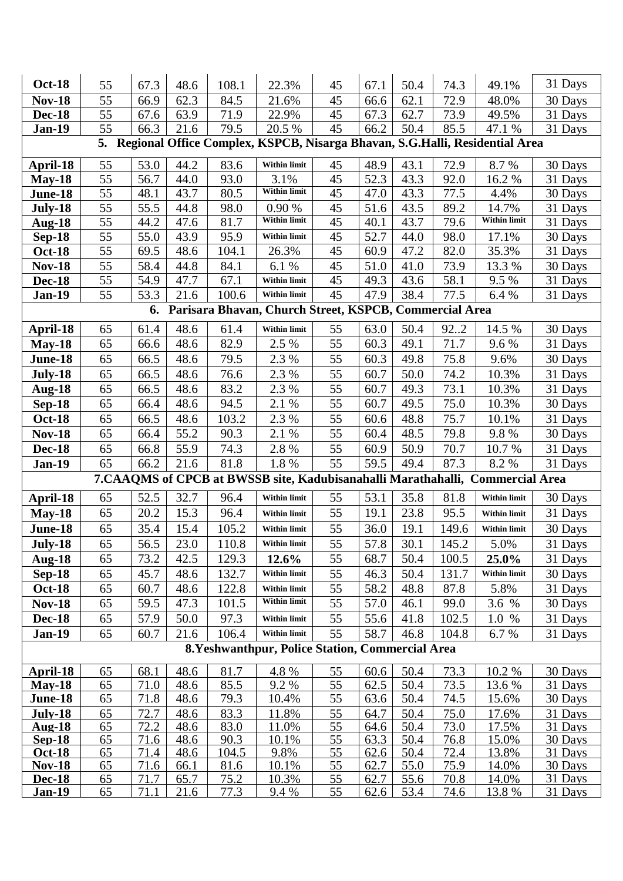| <b>Oct-18</b>                                                                  |          |              |              |              |                                                                                |          |              |              |              |                     | 31 Days            |
|--------------------------------------------------------------------------------|----------|--------------|--------------|--------------|--------------------------------------------------------------------------------|----------|--------------|--------------|--------------|---------------------|--------------------|
|                                                                                | 55       | 67.3         | 48.6         | 108.1        | 22.3%                                                                          | 45       | 67.1         | 50.4         | 74.3         | 49.1%               |                    |
| <b>Nov-18</b>                                                                  | 55       | 66.9         | 62.3         | 84.5         | 21.6%                                                                          | 45       | 66.6         | 62.1         | 72.9         | 48.0%               | 30 Days            |
| <b>Dec-18</b>                                                                  | 55<br>55 | 67.6<br>66.3 | 63.9<br>21.6 | 71.9<br>79.5 | 22.9%<br>20.5 %                                                                | 45<br>45 | 67.3<br>66.2 | 62.7<br>50.4 | 73.9<br>85.5 | 49.5%<br>47.1 %     | 31 Days<br>31 Days |
| <b>Jan-19</b>                                                                  |          |              |              |              |                                                                                |          |              |              |              |                     |                    |
| 5. Regional Office Complex, KSPCB, Nisarga Bhavan, S.G.Halli, Residential Area |          |              |              |              |                                                                                |          |              |              |              |                     |                    |
| April-18                                                                       | 55       | 53.0         | 44.2         | 83.6         | Within limit                                                                   | 45       | 48.9         | 43.1         | 72.9         | 8.7%                | 30 Days            |
| $May-18$                                                                       | 55       | 56.7         | 44.0         | 93.0         | 3.1%                                                                           | 45       | 52.3         | 43.3         | 92.0         | 16.2%               | 31 Days            |
| June-18                                                                        | 55       | 48.1         | 43.7         | 80.5         | <b>Within limit</b>                                                            | 45       | 47.0         | 43.3         | 77.5         | 4.4%                | 30 Days            |
| <b>July-18</b>                                                                 | 55       | 55.5         | 44.8         | 98.0         | 0.90 %                                                                         | 45       | 51.6         | 43.5         | 89.2         | 14.7%               | 31 Days            |
| <b>Aug-18</b>                                                                  | 55       | 44.2         | 47.6         | 81.7         | <b>Within limit</b>                                                            | 45       | 40.1         | 43.7         | 79.6         | <b>Within limit</b> | 31 Days            |
| $Sep-18$                                                                       | 55       | 55.0         | 43.9         | 95.9         | <b>Within limit</b>                                                            | 45       | 52.7         | 44.0         | 98.0         | 17.1%               | 30 Days            |
| <b>Oct-18</b>                                                                  | 55       | 69.5         | 48.6         | 104.1        | 26.3%                                                                          | 45       | 60.9         | 47.2         | 82.0         | 35.3%               | 31 Days            |
| <b>Nov-18</b>                                                                  | 55       | 58.4         | 44.8         | 84.1         | 6.1 %                                                                          | 45       | 51.0         | 41.0         | 73.9         | 13.3 %              | 30 Days            |
| <b>Dec-18</b>                                                                  | 55       | 54.9         | 47.7         | 67.1         | <b>Within limit</b>                                                            | 45       | 49.3         | 43.6         | 58.1         | 9.5 %               | 31 Days            |
| <b>Jan-19</b>                                                                  | 55       | 53.3         | 21.6         | 100.6        | <b>Within limit</b>                                                            | 45       | 47.9         | 38.4         | 77.5         | 6.4 %               | 31 Days            |
| Parisara Bhavan, Church Street, KSPCB, Commercial Area<br>6.                   |          |              |              |              |                                                                                |          |              |              |              |                     |                    |
| April-18                                                                       | 65       | 61.4         | 48.6         | 61.4         | <b>Within limit</b>                                                            | 55       | 63.0         | 50.4         | 922          | 14.5 %              | 30 Days            |
| $May-18$                                                                       | 65       | 66.6         | 48.6         | 82.9         | 2.5 %                                                                          | 55       | 60.3         | 49.1         | 71.7         | 9.6%                | 31 Days            |
| June-18                                                                        | 65       | 66.5         | 48.6         | 79.5         | 2.3 %                                                                          | 55       | 60.3         | 49.8         | 75.8         | 9.6%                | 30 Days            |
| July-18                                                                        | 65       | 66.5         | 48.6         | 76.6         | 2.3 %                                                                          | 55       | 60.7         | 50.0         | 74.2         | 10.3%               | 31 Days            |
| <b>Aug-18</b>                                                                  | 65       | 66.5         | 48.6         | 83.2         | 2.3 %                                                                          | 55       | 60.7         | 49.3         | 73.1         | 10.3%               | 31 Days            |
| $Sep-18$                                                                       | 65       | 66.4         | 48.6         | 94.5         | 2.1 %                                                                          | 55       | 60.7         | 49.5         | 75.0         | 10.3%               | 30 Days            |
| <b>Oct-18</b>                                                                  | 65       | 66.5         | 48.6         | 103.2        | 2.3 %                                                                          | 55       | 60.6         | 48.8         | 75.7         | 10.1%               | 31 Days            |
| <b>Nov-18</b>                                                                  | 65       | 66.4         | 55.2         | 90.3         | 2.1 %                                                                          | 55       | 60.4         | 48.5         | 79.8         | 9.8%                | 30 Days            |
| <b>Dec-18</b>                                                                  | 65       | 66.8         | 55.9         | 74.3         | 2.8 %                                                                          | 55       | 60.9         | 50.9         | 70.7         | 10.7 %              | 31 Days            |
| <b>Jan-19</b>                                                                  | 65       | 66.2         | 21.6         | 81.8         | 1.8%                                                                           | 55       | 59.5         | 49.4         | 87.3         | 8.2%                | 31 Days            |
|                                                                                |          |              |              |              | 7. CAAQMS of CPCB at BWSSB site, Kadubisanahalli Marathahalli, Commercial Area |          |              |              |              |                     |                    |
| April-18                                                                       | 65       | 52.5         | 32.7         | 96.4         | <b>Within limit</b>                                                            | 55       | 53.1         | 35.8         | 81.8         | <b>Within limit</b> | 30 Days            |
| $May-18$                                                                       | 65       | 20.2         | 15.3         | 96.4         | <b>Within limit</b>                                                            | 55       | 19.1         | 23.8         | 95.5         | <b>Within limit</b> | 31 Days            |
| June-18                                                                        | 65       | 35.4         | 15.4         | 105.2        | <b>Within limit</b>                                                            | 55       | 36.0         | 19.1         | 149.6        | Within limit        | 30 Days            |
| July-18                                                                        | 65       | 56.5         | 23.0         | 110.8        | Within limit                                                                   | 55       | 57.8         | 30.1         | 145.2        | 5.0%                | 31 Days            |
| <b>Aug-18</b>                                                                  | 65       | 73.2         | 42.5         | 129.3        | 12.6%                                                                          | 55       | 68.7         | 50.4         | 100.5        | 25.0%               | 31 Days            |
| $Sep-18$                                                                       | 65       | 45.7         | 48.6         | 132.7        | <b>Within limit</b>                                                            | 55       | 46.3         | 50.4         | 131.7        | <b>Within limit</b> | 30 Days            |
| <b>Oct-18</b>                                                                  | 65       | 60.7         | 48.6         | 122.8        | <b>Within limit</b>                                                            | 55       | 58.2         | 48.8         | 87.8         | 5.8%                | 31 Days            |
| <b>Nov-18</b>                                                                  | 65       | 59.5         | 47.3         | 101.5        | <b>Within limit</b>                                                            | 55       | 57.0         | 46.1         | 99.0         | 3.6 %               | 30 Days            |
| <b>Dec-18</b>                                                                  | 65       | 57.9         | 50.0         | 97.3         | Within limit                                                                   | 55       | 55.6         | 41.8         | 102.5        | 1.0 %               | 31 Days            |
| <b>Jan-19</b>                                                                  | 65       | 60.7         | 21.6         | 106.4        | <b>Within limit</b>                                                            | 55       | 58.7         | 46.8         | 104.8        | 6.7%                | 31 Days            |
|                                                                                |          |              |              |              |                                                                                |          |              |              |              |                     |                    |
| 8. Yeshwanthpur, Police Station, Commercial Area                               |          |              |              |              |                                                                                |          |              |              |              |                     |                    |
| April-18                                                                       | 65       | 68.1         | 48.6         | 81.7         | 4.8 %                                                                          | 55       | 60.6         | 50.4         | 73.3         | 10.2 %              | 30 Days            |
| $May-18$                                                                       | 65       | 71.0         | 48.6         | 85.5         | 9.2%                                                                           | 55       | 62.5         | 50.4         | 73.5         | 13.6 %              | 31 Days            |
| June-18                                                                        | 65       | 71.8         | 48.6         | 79.3         | 10.4%                                                                          | 55       | 63.6         | 50.4         | 74.5         | 15.6%               | 30 Days            |
| July-18<br><b>Aug-18</b>                                                       | 65<br>65 | 72.7<br>72.2 | 48.6<br>48.6 | 83.3<br>83.0 | 11.8%<br>11.0%                                                                 | 55<br>55 | 64.7<br>64.6 | 50.4<br>50.4 | 75.0<br>73.0 | 17.6%<br>17.5%      | 31 Days<br>31 Days |
| <b>Sep-18</b>                                                                  | 65       | 71.6         | 48.6         | 90.3         | 10.1%                                                                          | 55       | 63.3         | 50.4         | 76.8         | 15.0%               | 30 Days            |
| <b>Oct-18</b>                                                                  | 65       | 71.4         | 48.6         | 104.5        | 9.8%                                                                           | 55       | 62.6         | 50.4         | 72.4         | 13.8%               | 31 Days            |
| <b>Nov-18</b>                                                                  | 65       | 71.6         | 66.1         | 81.6         | 10.1%                                                                          | 55       | 62.7         | 55.0         | 75.9         | 14.0%               | 30 Days            |
| Dec-18                                                                         | 65       | 71.7         | 65.7         | 75.2         | 10.3%                                                                          | 55       | 62.7         | 55.6         | 70.8         | 14.0%               | 31 Days            |
| <b>Jan-19</b>                                                                  | 65       | 71.1         | 21.6         | 77.3         | 9.4 %                                                                          | 55       | 62.6         | 53.4         | 74.6         | 13.8%               | 31 Days            |